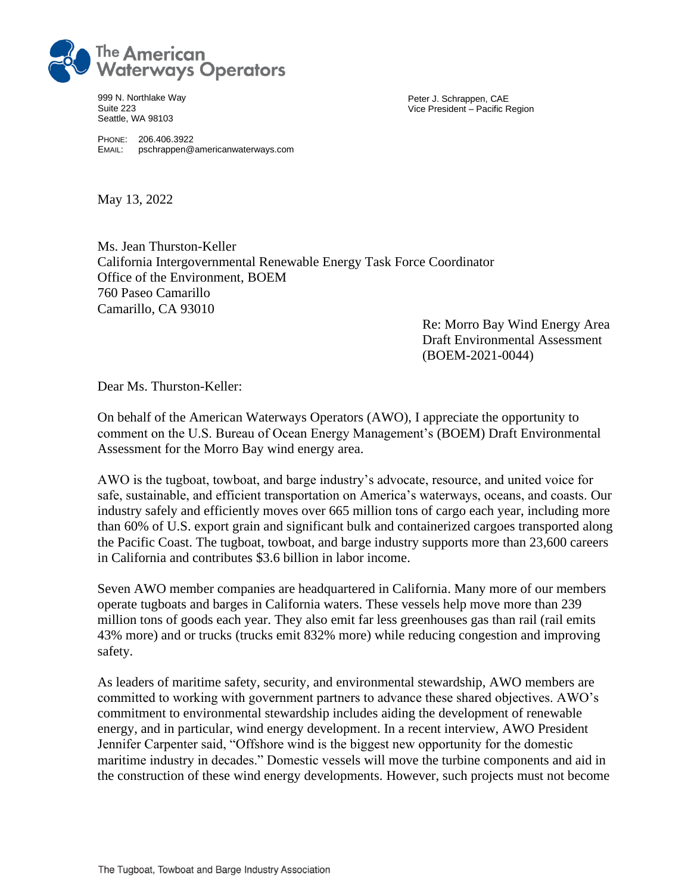

999 N. Northlake Way Suite 223 Seattle, WA 98103

Peter J. Schrappen, CAE Vice President – Pacific Region

PHONE: 206.406.3922 EMAIL: pschrappen@americanwaterways.com

May 13, 2022

Ms. Jean Thurston-Keller California Intergovernmental Renewable Energy Task Force Coordinator Office of the Environment, BOEM 760 Paseo Camarillo Camarillo, CA 93010

> Re: Morro Bay Wind Energy Area Draft Environmental Assessment (BOEM-2021-0044)

Dear Ms. Thurston-Keller:

On behalf of the American Waterways Operators (AWO), I appreciate the opportunity to comment on the U.S. Bureau of Ocean Energy Management's (BOEM) Draft Environmental Assessment for the Morro Bay wind energy area.

AWO is the tugboat, towboat, and barge industry's advocate, resource, and united voice for safe, sustainable, and efficient transportation on America's waterways, oceans, and coasts. Our industry safely and efficiently moves over 665 million tons of cargo each year, including more than 60% of U.S. export grain and significant bulk and containerized cargoes transported along the Pacific Coast. The tugboat, towboat, and barge industry supports more than 23,600 careers in California and contributes \$3.6 billion in labor income.

Seven AWO member companies are headquartered in California. Many more of our members operate tugboats and barges in California waters. These vessels help move more than 239 million tons of goods each year. They also emit far less greenhouses gas than rail (rail emits 43% more) and or trucks (trucks emit 832% more) while reducing congestion and improving safety.

As leaders of maritime safety, security, and environmental stewardship, AWO members are committed to working with government partners to advance these shared objectives. AWO's commitment to environmental stewardship includes aiding the development of renewable energy, and in particular, wind energy development. In a recent interview, AWO President Jennifer Carpenter said, "Offshore wind is the biggest new opportunity for the domestic maritime industry in decades." Domestic vessels will move the turbine components and aid in the construction of these wind energy developments. However, such projects must not become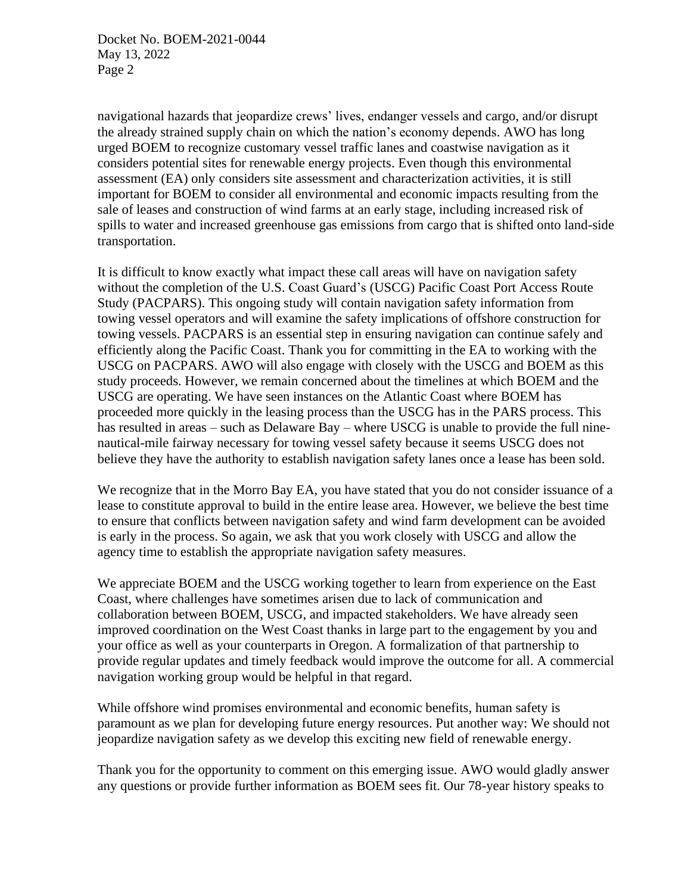navigational hazards that jeopardize crews' lives, endanger vessels and cargo, and/or disrupt the already strained supply chain on which the nation's economy depends. AWO has long urged BOEM to recognize customary vessel traffic lanes and coastwise navigation as it considers potential sites for renewable energy projects. Even though this environmental assessment (EA) only considers site assessment and characterization activities, it is still important for BOEM to consider all environmental and economic impacts resulting from the sale of leases and construction of wind farms at an early stage, including increased risk of spills to water and increased greenhouse gas emissions from cargo that is shifted onto land-side transportation.

It is difficult to know exactly what impact these call areas will have on navigation safety without the completion of the U.S. Coast Guard's (USCG) Pacific Coast Port Access Route Study (PACPARS). This ongoing study will contain navigation safety information from towing vessel operators and will examine the safety implications of offshore construction for towing vessels. PACPARS is an essential step in ensuring navigation can continue safely and efficiently along the Pacific Coast. Thank you for committing in the EA to working with the USCG on PACPARS. AWO will also engage with closely with the USCG and BOEM as this study proceeds. However, we remain concerned about the timelines at which BOEM and the USCG are operating. We have seen instances on the Atlantic Coast where BOEM has proceeded more quickly in the leasing process than the USCG has in the PARS process. This has resulted in areas – such as Delaware Bay – where USCG is unable to provide the full ninenautical-mile fairway necessary for towing vessel safety because it seems USCG does not believe they have the authority to establish navigation safety lanes once a lease has been sold.

We recognize that in the Morro Bay EA, you have stated that you do not consider issuance of a lease to constitute approval to build in the entire lease area. However, we believe the best time to ensure that conflicts between navigation safety and wind farm development can be avoided is early in the process. So again, we ask that you work closely with USCG and allow the agency time to establish the appropriate navigation safety measures.

We appreciate BOEM and the USCG working together to learn from experience on the East Coast, where challenges have sometimes arisen due to lack of communication and collaboration between BOEM, USCG, and impacted stakeholders. We have already seen improved coordination on the West Coast thanks in large part to the engagement by you and your office as well as your counterparts in Oregon. A formalization of that partnership to provide regular updates and timely feedback would improve the outcome for all. A commercial navigation working group would be helpful in that regard.

While offshore wind promises environmental and economic benefits, human safety is paramount as we plan for developing future energy resources. Put another way: We should not jeopardize navigation safety as we develop this exciting new field of renewable energy.

Thank you for the opportunity to comment on this emerging issue. AWO would gladly answer any questions or provide further information as BOEM sees fit. Our 78-year history speaks to